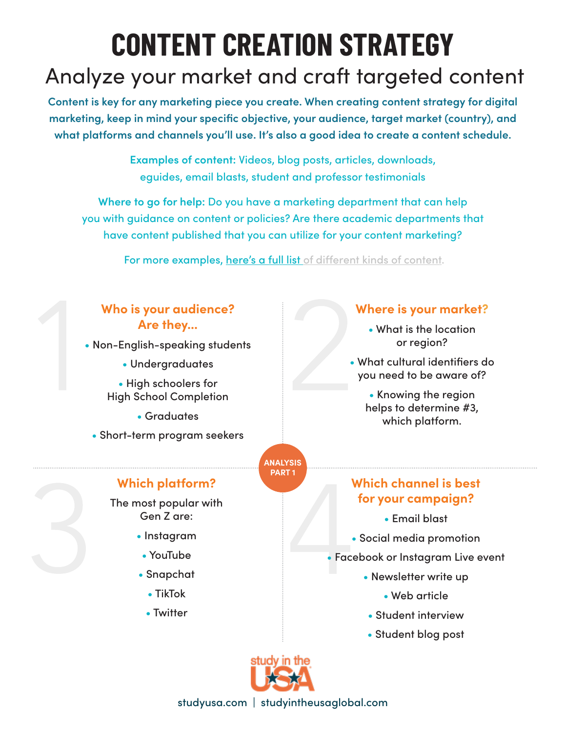# **CONTENT CREATION STRATEGY**

## Analyze your market and craft targeted content

**Content is key for any marketing piece you create. When creating content strategy for digital marketing, keep in mind your specific objective, your audience, target market (country), and what platforms and channels you'll use. It's also a good idea to create a content schedule.**

> **Examples of content:** Videos, blog posts, articles, downloads, eguides, email blasts, student and professor testimonials

**Where to go for help:** Do you have a marketing department that can help you with guidance on content or policies? Are there academic departments that have content published that you can utilize for your content marketing?

For more examples, here's a full list of different kinds of content.